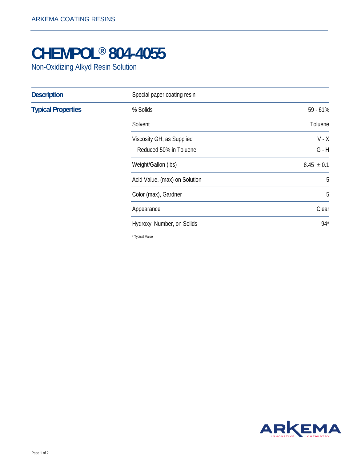## **CHEMPOL® 804-4055**

Non-Oxidizing Alkyd Resin Solution

| <b>Description</b>        | Special paper coating resin   |                |
|---------------------------|-------------------------------|----------------|
| <b>Typical Properties</b> | % Solids                      | $59 - 61%$     |
|                           | Solvent                       | Toluene        |
|                           | Viscosity GH, as Supplied     | $V - X$        |
|                           | Reduced 50% in Toluene        | $G - H$        |
|                           | Weight/Gallon (lbs)           | $8.45 \pm 0.1$ |
|                           | Acid Value, (max) on Solution | 5              |
|                           | Color (max), Gardner          | 5              |
|                           | Appearance                    | Clear          |
|                           | Hydroxyl Number, on Solids    | $94*$          |
|                           |                               |                |

\* Typical Value